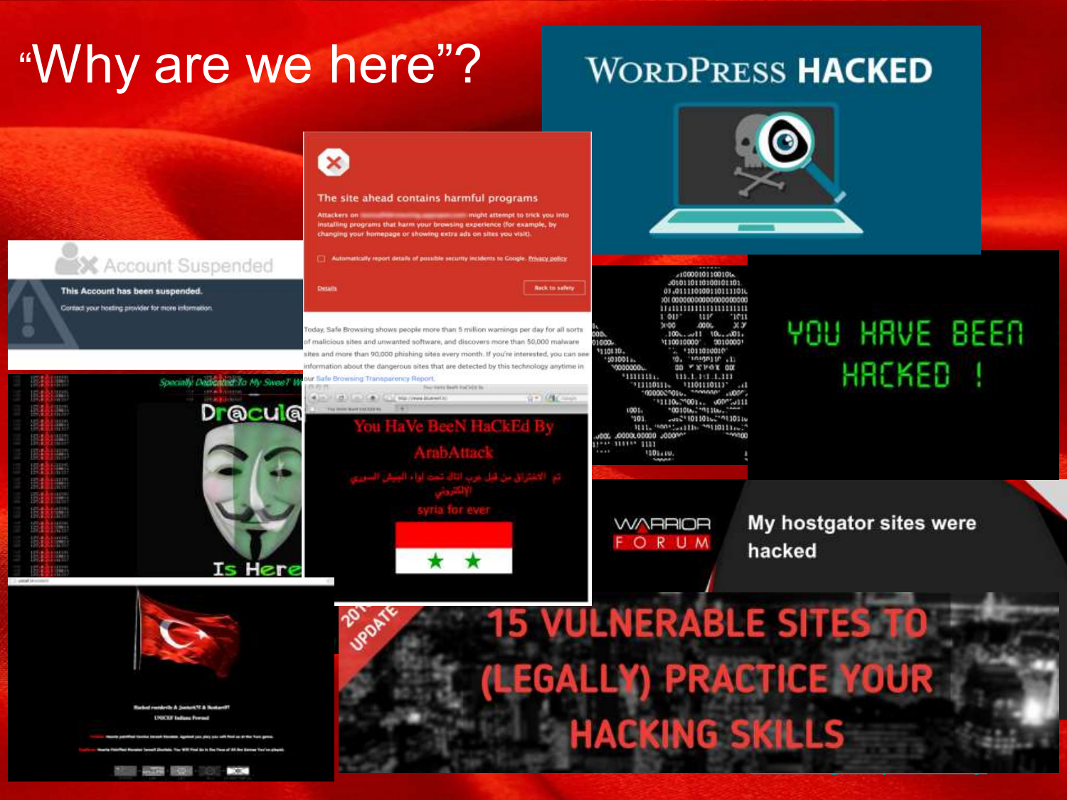# "Why are we here"?

## **WORDPRESS HACKED**

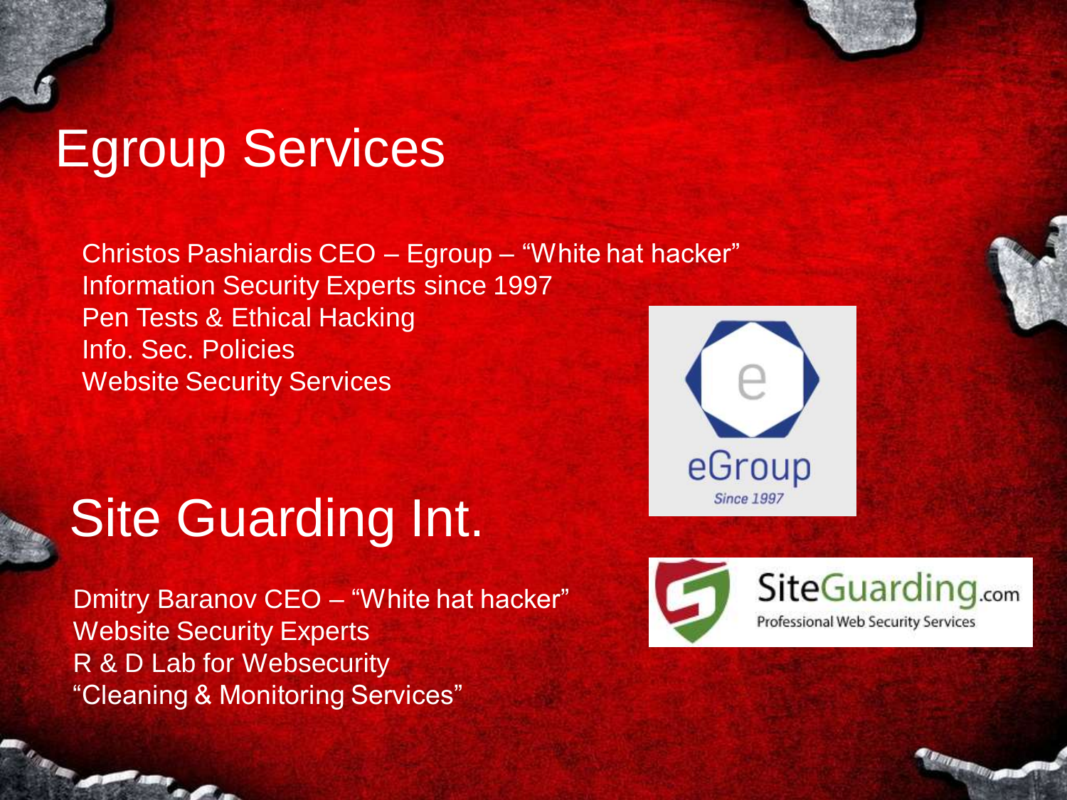# Egroup Services

Christos Pashiardis CEO – Egroup – "White hat hacker" Information Security Experts since 1997 Pen Tests & Ethical Hacking Info. Sec. Policies Website Security Services

# **Site Guarding Int.**

Dmitry Baranov CEO – "White hat hacker" Website Security Experts R & D Lab for Websecurity "Cleaning & Monitoring Services"



SiteGuarding.com Professional Web Security Services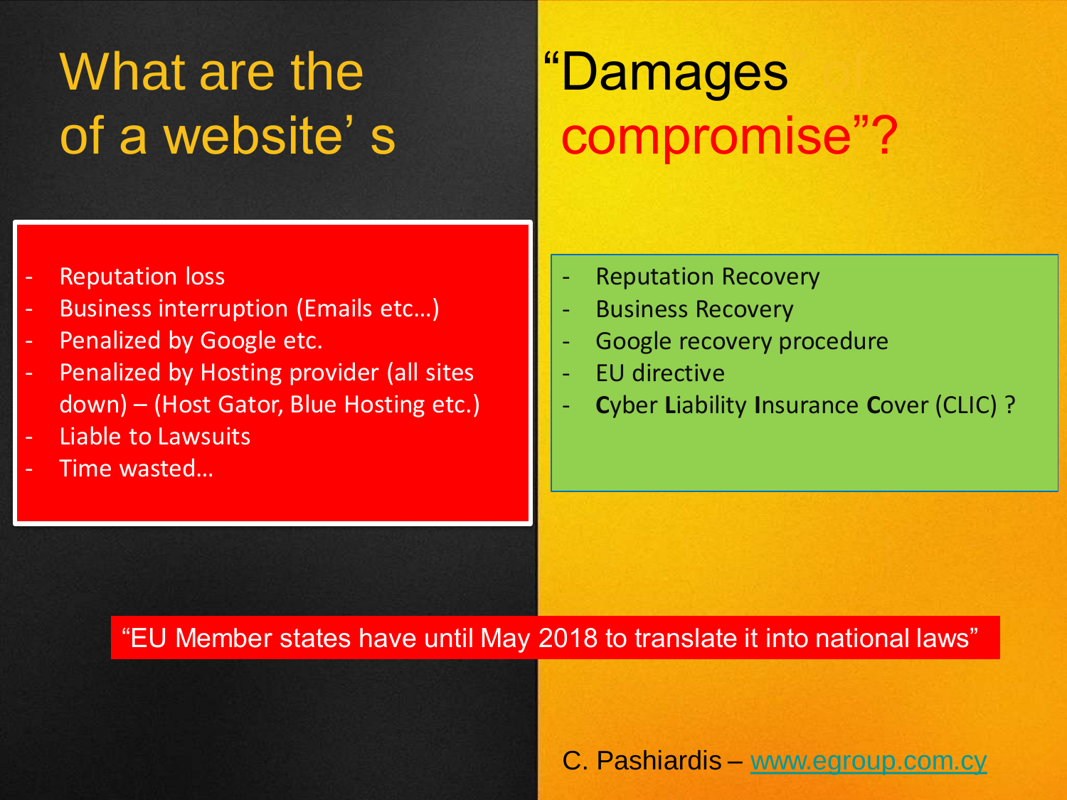# What are the "Damages"

- Reputation loss
- Business interruption (Emails etc...)
- Penalized by Google etc.
- Penalized by Hosting provider (all sites down) – (Host Gator, Blue Hosting etc.)
- Liable to Lawsuits
- Time wasted…

# of a website's compromise"?

- **Reputation Recovery**
- **Business Recovery**
- Google recovery procedure
- EU directive
- **C**yber **L**iability **I**nsurance **C**over (CLIC) ?

### "EU Member states have until May 2018 to translate it into national laws"

C. Pashiardis – [www.egroup.com.cy](http://www.egroup.com.cy/)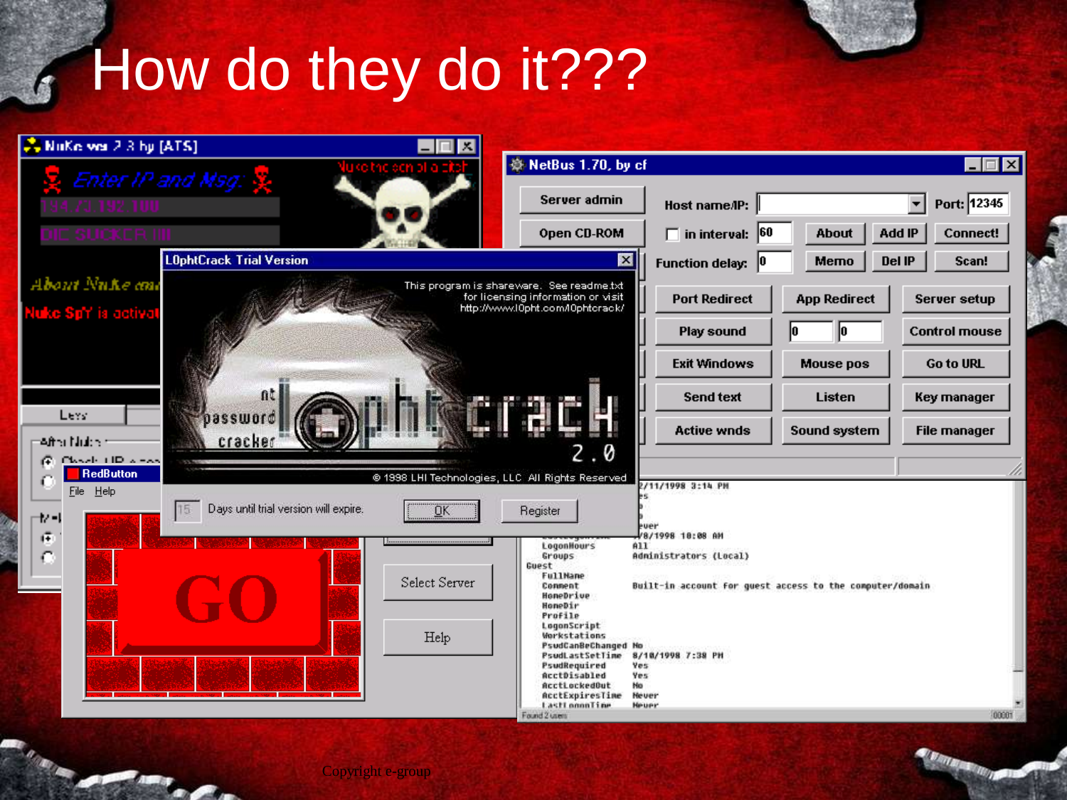# How do they do it???

| 2. NuKe was 2.3 by [ATS]<br>$\mathbf{x}_i$   |                                              |                |                                                                                                                     |                                                          |                     |                                         |
|----------------------------------------------|----------------------------------------------|----------------|---------------------------------------------------------------------------------------------------------------------|----------------------------------------------------------|---------------------|-----------------------------------------|
|                                              | Enter IP and Msg: $\frac{w}{X}$              | ic den blia zi | ※ NetBus 1.70, by cf                                                                                                |                                                          |                     | - I⊡I ×                                 |
| 70. ISBN 1000                                |                                              |                | Server admin                                                                                                        | Host name/IP:                                            |                     | Port: 12345<br>$\overline{\phantom{0}}$ |
| : SUCKER IIII                                |                                              |                | <b>Open CD-ROM</b>                                                                                                  | $\Box$ in interval: 60                                   | <b>About</b>        | <b>Add IP</b><br><b>Connect!</b>        |
|                                              | <b>LOphtCrack Trial Version</b>              |                | ⊠                                                                                                                   | <b>Function delay:</b><br>10                             | Memo                | <b>Del IP</b><br>Scan!                  |
| About Nuke and                               |                                              |                | This program is shareware. See readme.txt<br>for licensing information or visit<br>http://www.l0pht.com/l0phtcrack/ | <b>Port Redirect</b>                                     | <b>App Redirect</b> | Server setup                            |
| Nuke Sp <sup>r</sup> i ja actival            |                                              |                |                                                                                                                     | Play sound                                               | lO<br>10.           | <b>Control mouse</b>                    |
|                                              |                                              |                |                                                                                                                     | <b>Exit Windows</b>                                      | <b>Mouse pos</b>    | <b>Go to URL</b>                        |
|                                              | dt.                                          |                |                                                                                                                     | <b>Send text</b>                                         | Listen              | Key manager                             |
| Lev.<br>=After Nickel                        | ssword<br>cracker                            |                |                                                                                                                     | <b>Active wnds</b>                                       | Sound system        | <b>File manager</b>                     |
| Classic LID weeks<br>ιŒ,<br><b>RedButton</b> |                                              |                | 0                                                                                                                   |                                                          |                     |                                         |
| File Help                                    | Days until trial version will expire.<br>15. |                | @ 1998 LHI Technologies, LLC All Rights Reserved                                                                    | 2/11/1998 3:14 PM                                        |                     |                                         |
| ⊣∤ -∣<br>$(\overline{z})$                    |                                              | ОK             | Register                                                                                                            | ever<br>/8/1998 10:08 AM                                 |                     |                                         |
| $\mathbb{C}$                                 |                                              |                | LogonHours<br>Groups<br>Guest                                                                                       | All<br>Administrators (Local)                            |                     |                                         |
|                                              |                                              | Select Server  | <b>FullMane</b><br>Connent<br>HomeDrive                                                                             | Built-in account for guest access to the computer/domain |                     |                                         |
|                                              |                                              |                | HomeDir<br>Profile<br>LogonScript                                                                                   |                                                          |                     |                                         |
|                                              |                                              | Help           | Workstations<br>PsudCanBeChanged No<br>PsudLastSetTime                                                              | 8/10/1998 7:38 PH                                        |                     |                                         |
|                                              |                                              |                | PsudRequired<br>AcctDisabled<br>AcctLockedOut                                                                       | Yes<br>Yes:<br><b>Ho</b>                                 |                     |                                         |
|                                              |                                              |                | <b>AcctExpiresTime</b><br>LastLoopnTine                                                                             | He ver<br><b>Heuer</b>                                   |                     |                                         |
|                                              |                                              |                | Found 2 users                                                                                                       |                                                          |                     | 00001                                   |

*<u>BATTER ROLL BATTERNESS</u>* 

Copyright e-group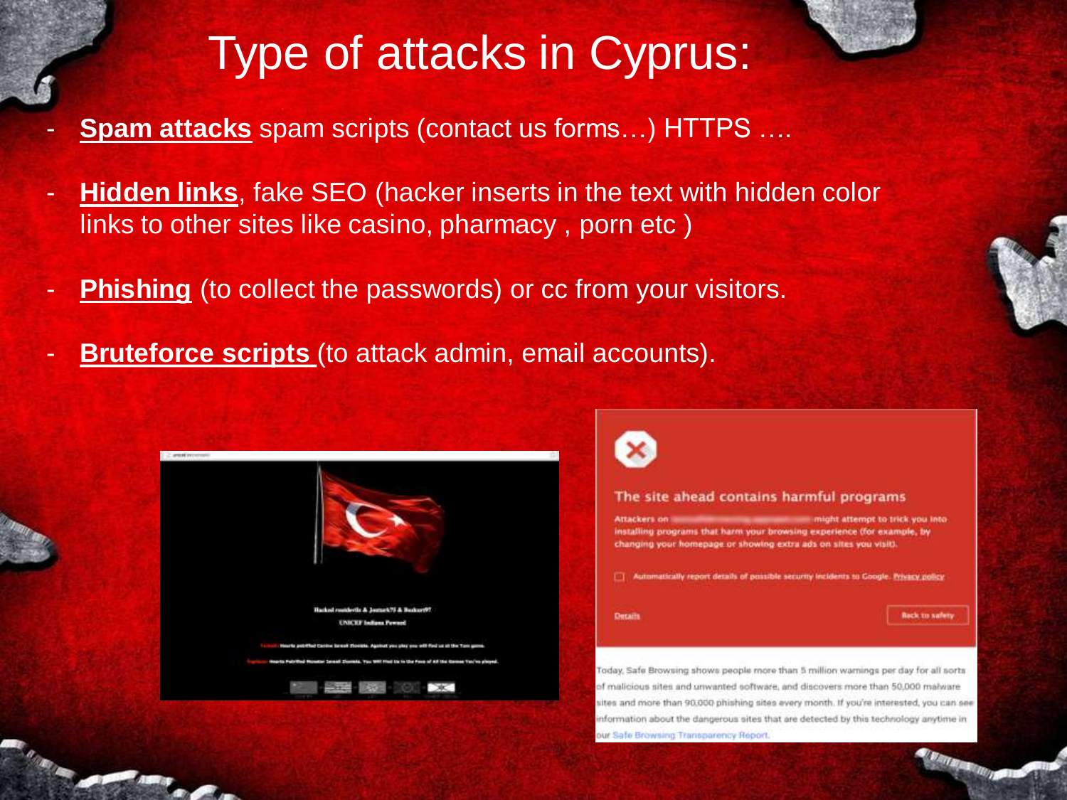# Type of attacks in Cyprus:

- **Spam attacks** spam scripts (contact us forms...) HTTPS ....
- **Hidden links**, fake SEO (hacker inserts in the text with hidden color links to other sites like casino, pharmacy , porn etc )
- **Phishing** (to collect the passwords) or cc from your visitors.
- **Bruteforce scripts** (to attack admin, email accounts).





#### The site ahead contains harmful programs

ht attender to trick you into installing programs that harm your browsing experience (for example, by changing your homepage or showing extra ads on sites you visit).

[7] Automatically report details of possible security incidents to Google. Privacy policy

Details

**Back to safety** 

Today, Safe Browsing shows people more than 5 million warnings per day for all sorts of malicious sites and unwanted software, and discovers more than 50,000 malware sites and more than 90,000 phishing sites every month. If you're interested, you can see information about the dangerous sites that are detected by this technology anytime in our Safe Browsing Transparency Report.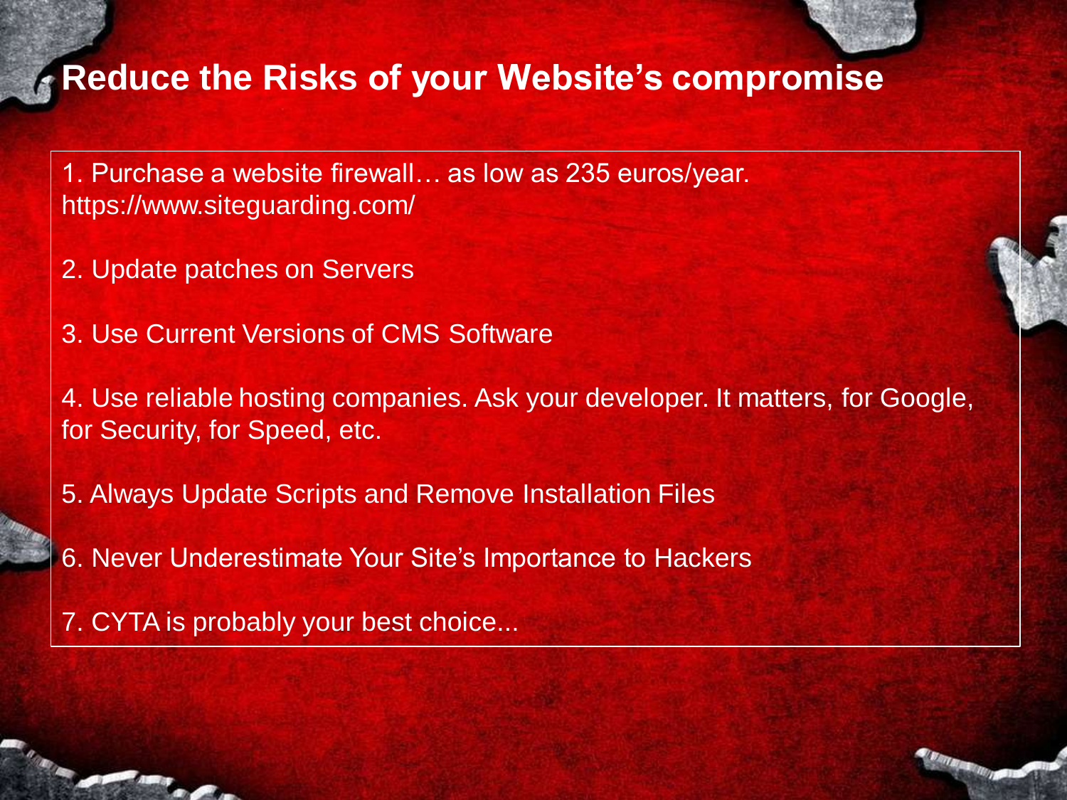## **Reduce the Risks of your Website's compromise**

- 1. Purchase a website firewall… as low as 235 euros/year. https://www.siteguarding.com/
- 2. Update patches on Servers
- 3. Use Current Versions of CMS Software
- 4. Use reliable hosting companies. Ask your developer. It matters, for Google, for Security, for Speed, etc.
- 5. Always Update Scripts and Remove Installation Files
- 6. Never Underestimate Your Site's Importance to Hackers
- 7. CYTA is probably your best choice...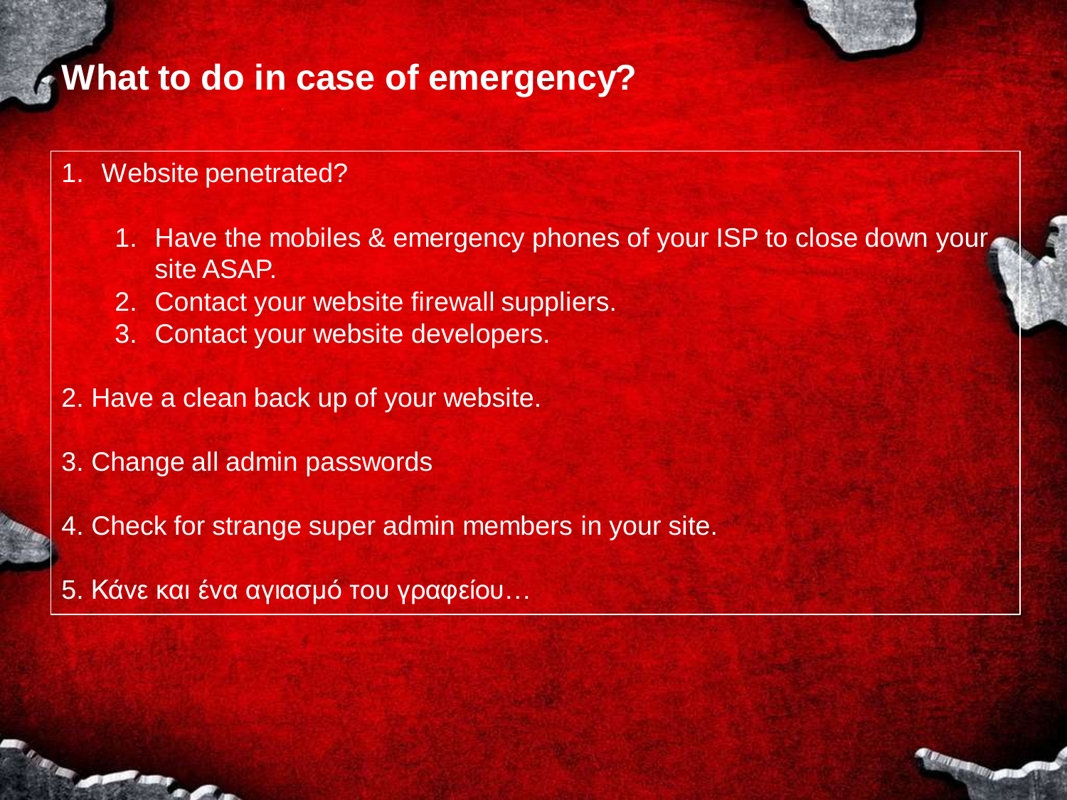## **What to do in case of emergency?**

- 1. Website penetrated?
	- 1. Have the mobiles & emergency phones of your ISP to close down your site ASAP.
	- 2. Contact your website firewall suppliers.
	- 3. Contact your website developers.
- 2. Have a clean back up of your website.
- 3. Change all admin passwords
- 4. Check for strange super admin members in your site.
- 5. Κάνε και ένα αγιασμό του γραφείου...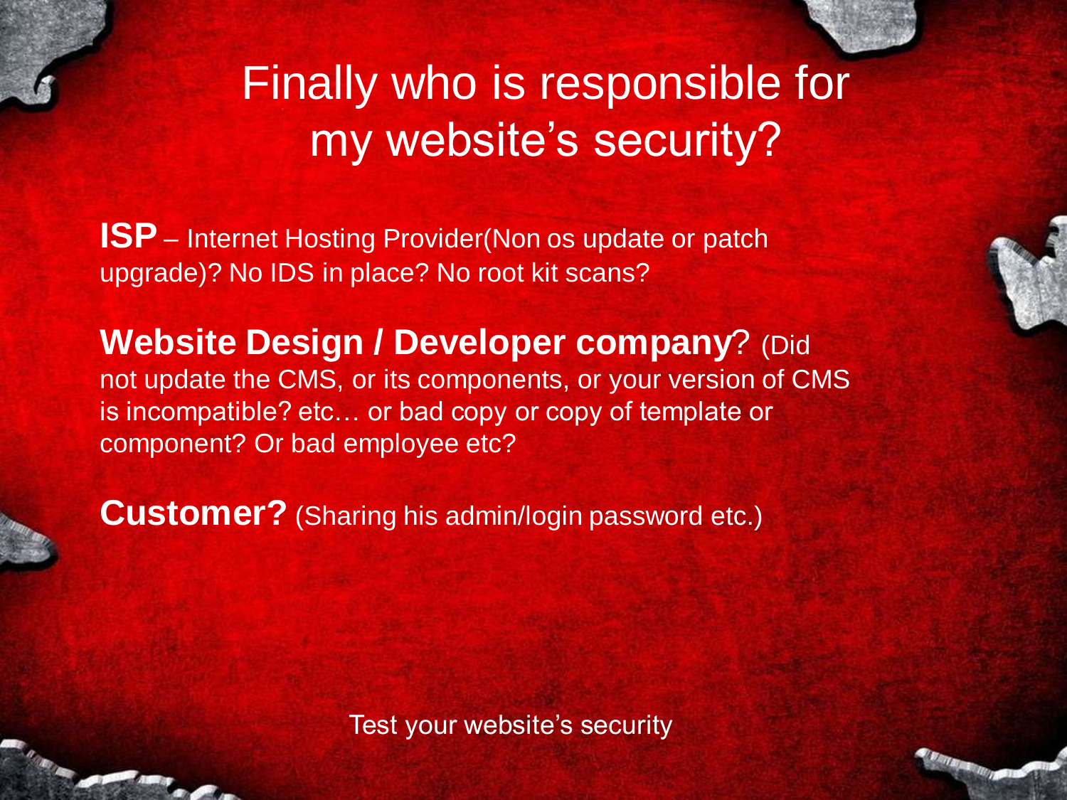

## Finally who is responsible for my website's security?

**ISP** – Internet Hosting Provider(Non os update or patch upgrade)? No IDS in place? No root kit scans?

**Website Design / Developer company**? (Did not update the CMS, or its components, or your version of CMS is incompatible? etc… or bad copy or copy of template or component? Or bad employee etc?

**Customer?** (Sharing his admin/login password etc.)

Test your website's security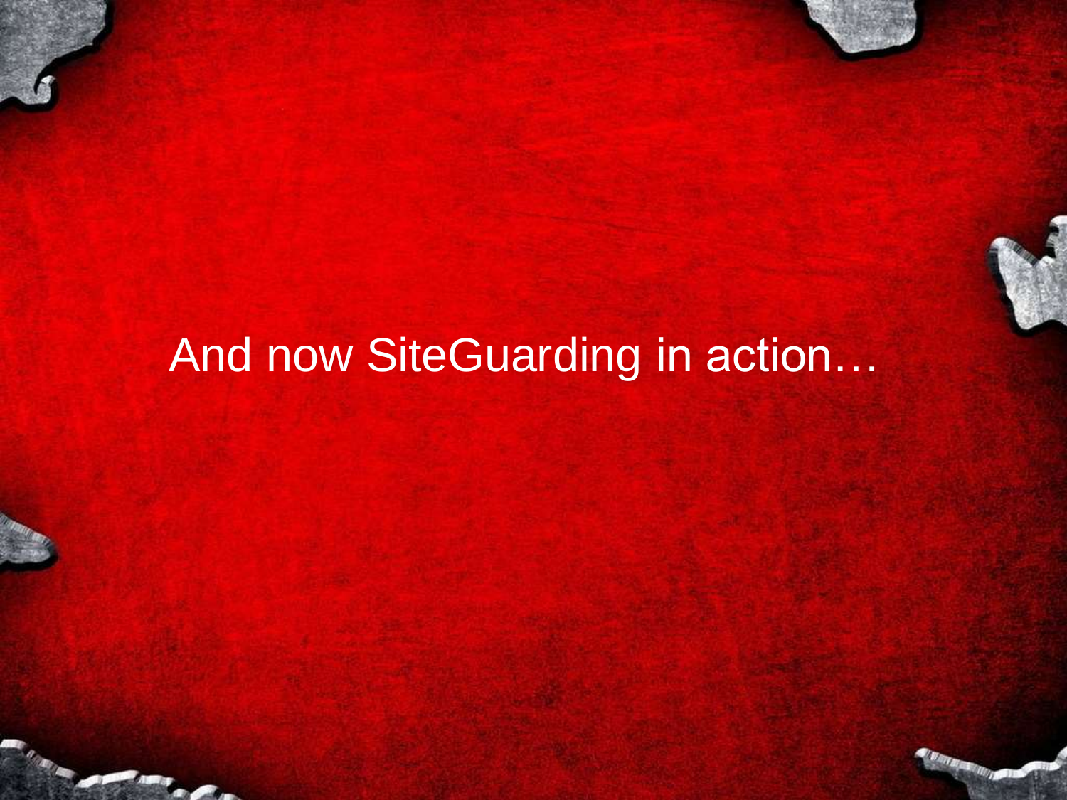## And now SiteGuarding in action...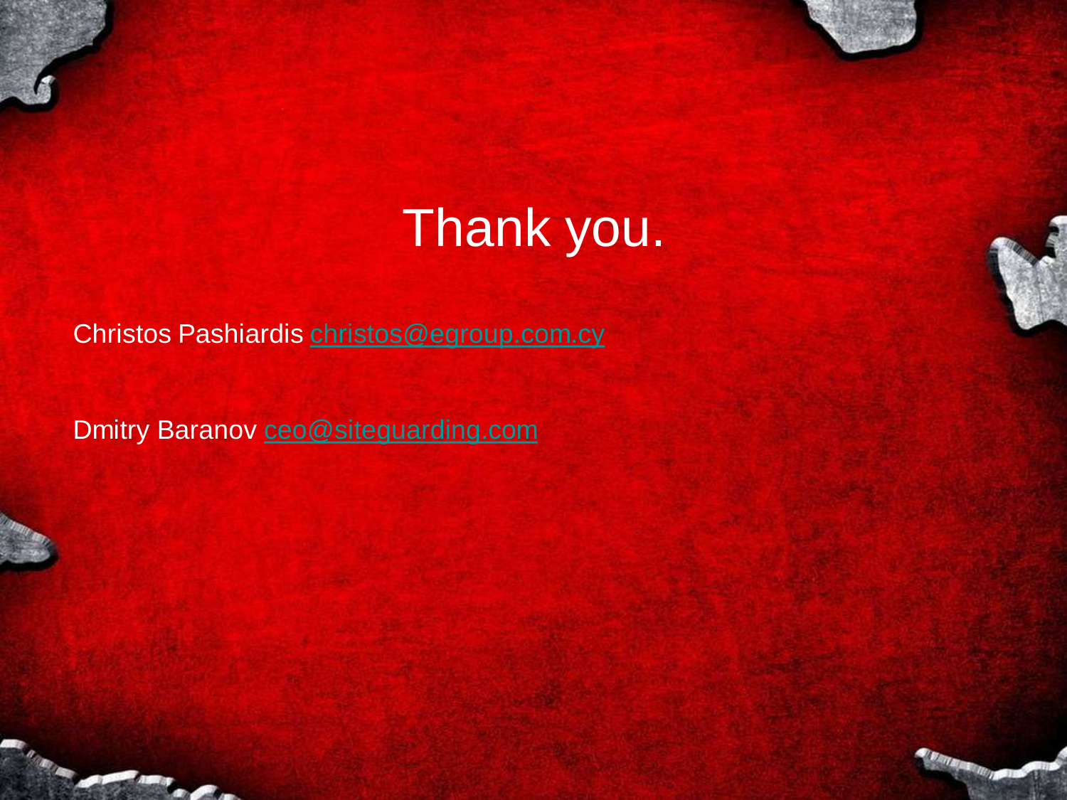# Thank you.

*MARK RIVER* 

### Christos Pashiardis [christos@egroup.com.cy](mailto:christos@egroup.com.cy)

Dmitry Baranov [ceo@siteguarding.com](mailto:ceo@siteguarding.com)



**The Company**